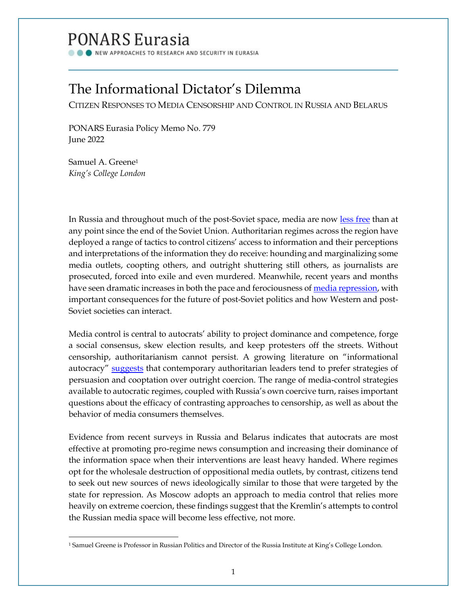# PONARS Eurasia

NEW APPROACHES TO RESEARCH AND SECURITY IN EURASIA

## The Informational Dictator's Dilemma

CITIZEN RESPONSES TO MEDIA CENSORSHIP AND CONTROL IN RUSSIA AND BELARUS

PONARS Eurasia Policy Memo No. 779 June 2022

Samuel A. Greene<sup>1</sup> *King's College London*

In Russia and throughout much of the post-Soviet space, media are now [less free](https://freedomhouse.org/report/nations-transit/2021/antidemocratic-turn#Media) than at any point since the end of the Soviet Union. Authoritarian regimes across the region have deployed a range of tactics to control citizens' access to information and their perceptions and interpretations of the information they do receive: hounding and marginalizing some media outlets, coopting others, and outright shuttering still others, as journalists are prosecuted, forced into exile and even murdered. Meanwhile, recent years and months have seen dramatic increases in both the pace and ferociousness of <u>media repression</u>, with important consequences for the future of post-Soviet politics and how Western and post-Soviet societies can interact.

Media control is central to autocrats' ability to project dominance and competence, forge a social consensus, skew election results, and keep protesters off the streets. Without censorship, authoritarianism cannot persist. A growing literature on "informational autocracy" [suggests](https://press.princeton.edu/books/hardcover/9780691211411/spin-dictators) that contemporary authoritarian leaders tend to prefer strategies of persuasion and cooptation over outright coercion. The range of media-control strategies available to autocratic regimes, coupled with Russia's own coercive turn, raises important questions about the efficacy of contrasting approaches to censorship, as well as about the behavior of media consumers themselves.

Evidence from recent surveys in Russia and Belarus indicates that autocrats are most effective at promoting pro-regime news consumption and increasing their dominance of the information space when their interventions are least heavy handed. Where regimes opt for the wholesale destruction of oppositional media outlets, by contrast, citizens tend to seek out new sources of news ideologically similar to those that were targeted by the state for repression. As Moscow adopts an approach to media control that relies more heavily on extreme coercion, these findings suggest that the Kremlin's attempts to control the Russian media space will become less effective, not more.

<sup>1</sup> Samuel Greene is Professor in Russian Politics and Director of the Russia Institute at King's College London.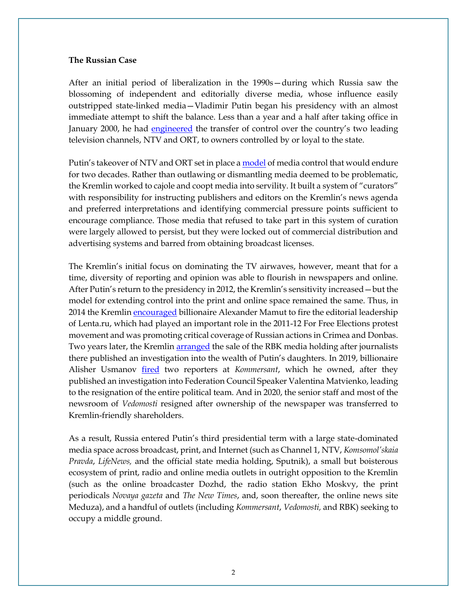#### **The Russian Case**

After an initial period of liberalization in the 1990s—during which Russia saw the blossoming of independent and editorially diverse media, whose influence easily outstripped state-linked media—Vladimir Putin began his presidency with an almost immediate attempt to shift the balance. Less than a year and a half after taking office in January 2000, he had [engineered](https://www.theguardian.com/world/2001/apr/04/russia.iantraynor) the transfer of control over the country's two leading television channels, NTV and ORT, to owners controlled by or loyal to the state.

Putin's takeover of NTV and ORT set in place a **model** of media control that would endure for two decades. Rather than outlawing or dismantling media deemed to be problematic, the Kremlin worked to cajole and coopt media into servility. It built a system of "curators" with responsibility for instructing publishers and editors on the Kremlin's news agenda and preferred interpretations and identifying commercial pressure points sufficient to encourage compliance. Those media that refused to take part in this system of curation were largely allowed to persist, but they were locked out of commercial distribution and advertising systems and barred from obtaining broadcast licenses.

The Kremlin's initial focus on dominating the TV airwaves, however, meant that for a time, diversity of reporting and opinion was able to flourish in newspapers and online. After Putin's return to the presidency in 2012, the Kremlin's sensitivity increased—but the model for extending control into the print and online space remained the same. Thus, in 2014 the Kremlin [encouraged](https://www.bbc.com/news/world-europe-26543464) billionaire Alexander Mamut to fire the editorial leadership of Lenta.ru, which had played an important role in the 2011-12 For Free Elections protest movement and was promoting critical coverage of Russian actions in Crimea and Donbas. Two years later, the Kremlin [arranged](https://meduza.io/feature/2016/07/08/esli-kto-to-schitaet-chto-mozhno-pryamo-voobsche-vse-eto-ne-tak) the sale of the RBK media holding after journalists there published an investigation into the wealth of Putin's daughters. In 2019, billionaire Alisher Usmanov [fired](https://www.vedomosti.ru/technology/articles/2019/05/20/801841-zhurnalistov-kommersanta) two reporters at *Kommersant*, which he owned, after they published an investigation into Federation Council Speaker Valentina Matvienko, leading to the resignation of the entire political team. And in 2020, the senior staff and most of the newsroom of *Vedomosti* resigned after ownership of the newspaper was transferred to Kremlin-friendly shareholders.

As a result, Russia entered Putin's third presidential term with a large state-dominated media space across broadcast, print, and Internet (such as Channel 1, NTV, *Komsomol'skaia Pravda*, *LifeNews,* and the official state media holding, Sputnik), a small but boisterous ecosystem of print, radio and online media outlets in outright opposition to the Kremlin (such as the online broadcaster Dozhd, the radio station Ekho Moskvy, the print periodicals *Novaya gazeta* and *The New Times*, and, soon thereafter, the online news site Meduza), and a handful of outlets (including *Kommersant*, *Vedomosti,* and RBK) seeking to occupy a middle ground.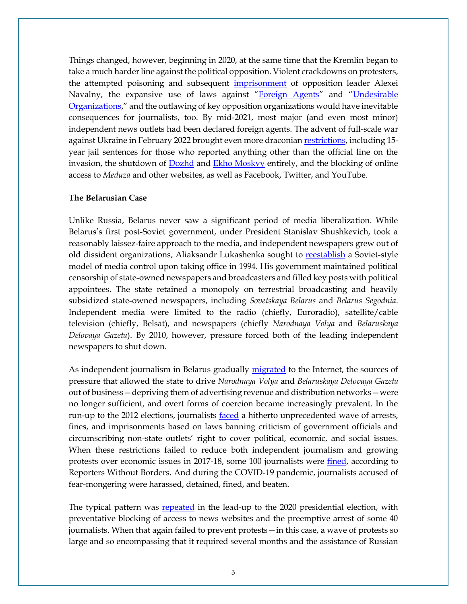Things changed, however, beginning in 2020, at the same time that the Kremlin began to take a much harder line against the political opposition. Violent crackdowns on protesters, the attempted poisoning and subsequent *[imprisonment](https://www.bbc.com/news/world-europe-55694598)* of opposition leader Alexei Navalny, the expansive use of laws against "[Foreign Agents](https://www.theguardian.com/world/2021/sep/11/putins-crackdown-how-russias-journalists-became-foreign-agents)" and "[Undesirable](https://www.hrw.org/news/2021/06/17/new-undesirables-law-expands-activists-danger-zone)  [Organizations](https://www.hrw.org/news/2021/06/17/new-undesirables-law-expands-activists-danger-zone)," and the outlawing of key opposition organizations would have inevitable consequences for journalists, too. By mid-2021, most major (and even most minor) independent news outlets had been declared foreign agents. The advent of full-scale war against Ukraine in February 2022 brought even more draconian [restrictions,](https://www.latimes.com/world-nation/story/2022-03-04/russia-punish-fake-war-reports-15-years-in-prison) including 15 year jail sentences for those who reported anything other than the official line on the invasion, the shutdown of [Dozhd](https://meduza.io/feature/2022/03/03/telekanal-dozhd-ob-yavil-o-priostanovke-veschaniya-meduza-pogovorila-s-ego-glavnym-redaktorom-tihonom-dzyadko) and **Ekho Moskvy** entirely, and the blocking of online access to *Meduza* and other websites, as well as Facebook, Twitter, and YouTube.

#### **The Belarusian Case**

Unlike Russia, Belarus never saw a significant period of media liberalization. While Belarus's first post-Soviet government, under President Stanislav Shushkevich, took a reasonably laissez-faire approach to the media, and independent newspapers grew out of old dissident organizations, Aliaksandr Lukashenka sought to [reestablish](https://www.jstor.org/stable/pdf/resrep06960.6.pdf) a Soviet-style model of media control upon taking office in 1994. His government maintained political censorship of state-owned newspapers and broadcasters and filled key posts with political appointees. The state retained a monopoly on terrestrial broadcasting and heavily subsidized state-owned newspapers, including *Sovetskaya Belarus* and *Belarus Segodnia*. Independent media were limited to the radio (chiefly, Euroradio), satellite/cable television (chiefly, Belsat), and newspapers (chiefly *Narodnaya Volya* and *Belaruskaya Delovaya Gazeta*). By 2010, however, pressure forced both of the leading independent newspapers to shut down.

As independent journalism in Belarus gradually [migrated](https://demokratizatsiya.pub/archives/22_2_F630177066T87389.pdf) to the Internet, the sources of pressure that allowed the state to drive *Narodnaya Volya* and *Belaruskaya Delovaya Gazeta* out of business—depriving them of advertising revenue and distribution networks—were no longer sufficient, and overt forms of coercion became increasingly prevalent. In the run-up to the 2012 elections, journalists [faced](https://rsf.org/en/news/opposition-journalists-and-cyber-dissidents-hounded-run-election) a hitherto unprecedented wave of arrests, fines, and imprisonments based on laws banning criticism of government officials and circumscribing non-state outlets' right to cover political, economic, and social issues. When these restrictions failed to reduce both independent journalism and growing protests over economic issues in 2017-18, some 100 journalists were *fined*, according to Reporters Without Borders. And during the COVID-19 pandemic, journalists accused of fear-mongering were harassed, detained, fined, and beaten.

The typical pattern was [repeated](https://rsf.org/en/news/oppressive-climate-reporters-run-belarus-election) in the lead-up to the 2020 presidential election, with preventative blocking of access to news websites and the preemptive arrest of some 40 journalists. When that again failed to prevent protests—in this case, a wave of protests so large and so encompassing that it required several months and the assistance of Russian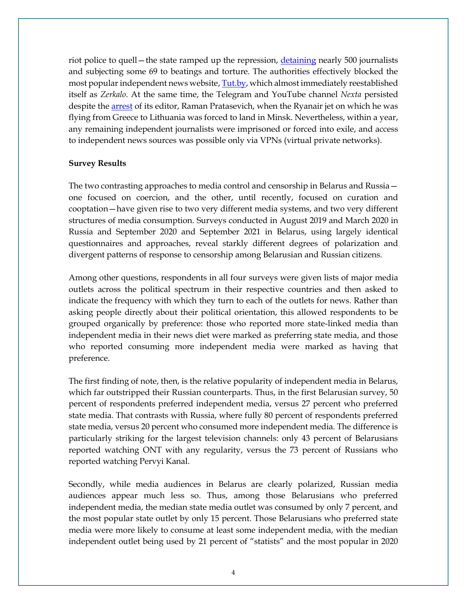riot police to quell—the state ramped up the repression, [detaining](https://www.omct.org/site-resources/files/report_belarus_rsf_omct_english.pdf) nearly 500 journalists and subjecting some 69 to beatings and torture. The authorities effectively blocked the most popular independent news website, **Tut.by**, which almost immediately reestablished itself as *Zerkalo*. At the same time, the Telegram and YouTube channel *Nexta* persisted despite the [arrest](https://www.theguardian.com/news/audio/2021/may/28/a-state-sponsored-hijacking-the-arrest-of-belarus-blogger-raman-pratasevich) of its editor, Raman Pratasevich, when the Ryanair jet on which he was flying from Greece to Lithuania was forced to land in Minsk. Nevertheless, within a year, any remaining independent journalists were imprisoned or forced into exile, and access to independent news sources was possible only via VPNs (virtual private networks).

#### **Survey Results**

The two contrasting approaches to media control and censorship in Belarus and Russia one focused on coercion, and the other, until recently, focused on curation and cooptation—have given rise to two very different media systems, and two very different structures of media consumption. Surveys conducted in August 2019 and March 2020 in Russia and September 2020 and September 2021 in Belarus, using largely identical questionnaires and approaches, reveal starkly different degrees of polarization and divergent patterns of response to censorship among Belarusian and Russian citizens.

Among other questions, respondents in all four surveys were given lists of major media outlets across the political spectrum in their respective countries and then asked to indicate the frequency with which they turn to each of the outlets for news. Rather than asking people directly about their political orientation, this allowed respondents to be grouped organically by preference: those who reported more state-linked media than independent media in their news diet were marked as preferring state media, and those who reported consuming more independent media were marked as having that preference.

The first finding of note, then, is the relative popularity of independent media in Belarus, which far outstripped their Russian counterparts. Thus, in the first Belarusian survey, 50 percent of respondents preferred independent media, versus 27 percent who preferred state media. That contrasts with Russia, where fully 80 percent of respondents preferred state media, versus 20 percent who consumed more independent media. The difference is particularly striking for the largest television channels: only 43 percent of Belarusians reported watching ONT with any regularity, versus the 73 percent of Russians who reported watching Pervyi Kanal.

Secondly, while media audiences in Belarus are clearly polarized, Russian media audiences appear much less so. Thus, among those Belarusians who preferred independent media, the median state media outlet was consumed by only 7 percent, and the most popular state outlet by only 15 percent. Those Belarusians who preferred state media were more likely to consume at least some independent media, with the median independent outlet being used by 21 percent of "statists" and the most popular in 2020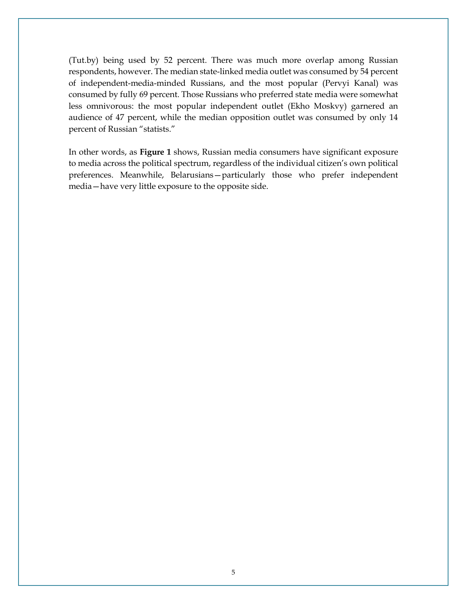(Tut.by) being used by 52 percent. There was much more overlap among Russian respondents, however. The median state-linked media outlet was consumed by 54 percent of independent-media-minded Russians, and the most popular (Pervyi Kanal) was consumed by fully 69 percent. Those Russians who preferred state media were somewhat less omnivorous: the most popular independent outlet (Ekho Moskvy) garnered an audience of 47 percent, while the median opposition outlet was consumed by only 14 percent of Russian "statists."

In other words, as **Figure 1** shows, Russian media consumers have significant exposure to media across the political spectrum, regardless of the individual citizen's own political preferences. Meanwhile, Belarusians—particularly those who prefer independent media—have very little exposure to the opposite side.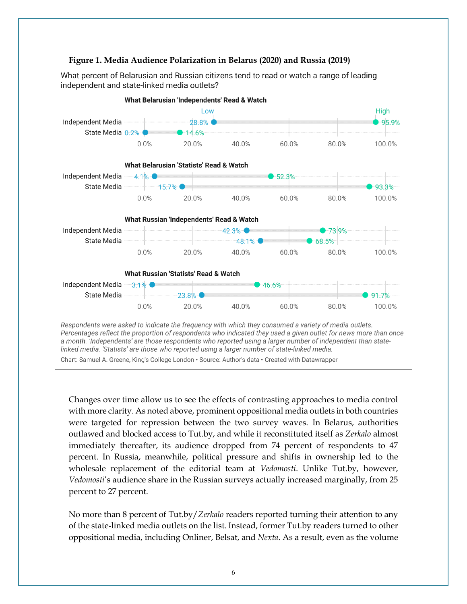

### Changes over time allow us to see the effects of contrasting approaches to media control with more clarity. As noted above, prominent oppositional media outlets in both countries were targeted for repression between the two survey waves. In Belarus, authorities outlawed and blocked access to Tut.by, and while it reconstituted itself as *Zerkalo* almost immediately thereafter, its audience dropped from 74 percent of respondents to 47 percent. In Russia, meanwhile, political pressure and shifts in ownership led to the wholesale replacement of the editorial team at *Vedomosti*. Unlike Tut.by, however, *Vedomosti*'s audience share in the Russian surveys actually increased marginally, from 25 percent to 27 percent.

No more than 8 percent of Tut.by/*Zerkalo* readers reported turning their attention to any of the state-linked media outlets on the list. Instead, former Tut.by readers turned to other oppositional media, including Onliner, Belsat, and *Nexta*. As a result, even as the volume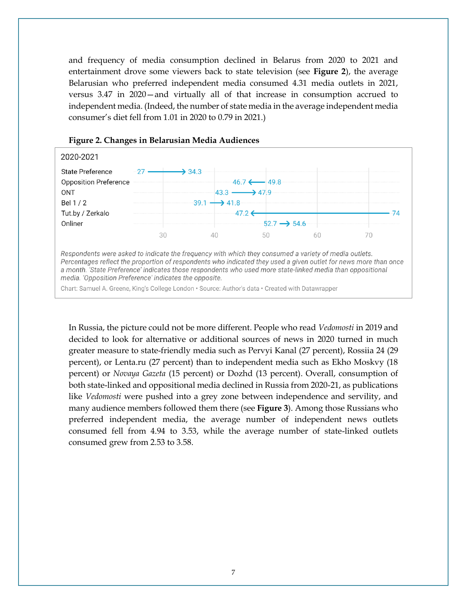and frequency of media consumption declined in Belarus from 2020 to 2021 and entertainment drove some viewers back to state television (see **Figure 2**), the average Belarusian who preferred independent media consumed 4.31 media outlets in 2021, versus 3.47 in 2020—and virtually all of that increase in consumption accrued to independent media. (Indeed, the number of state media in the average independent media consumer's diet fell from 1.01 in 2020 to 0.79 in 2021.)



#### **Figure 2. Changes in Belarusian Media Audiences**

a month. 'State Preference' indicates those respondents who used more state-linked media than oppositional media. 'Opposition Preference' indicates the opposite.

Chart: Samuel A. Greene, King's College London · Source: Author's data · Created with Datawrapper

In Russia, the picture could not be more different. People who read *Vedomosti* in 2019 and decided to look for alternative or additional sources of news in 2020 turned in much greater measure to state-friendly media such as Pervyi Kanal (27 percent), Rossiia 24 (29 percent), or Lenta.ru (27 percent) than to independent media such as Ekho Moskvy (18 percent) or *Novaya Gazeta* (15 percent) or Dozhd (13 percent). Overall, consumption of both state-linked and oppositional media declined in Russia from 2020-21, as publications like *Vedomosti* were pushed into a grey zone between independence and servility, and many audience members followed them there (see **Figure 3**). Among those Russians who preferred independent media, the average number of independent news outlets consumed fell from 4.94 to 3.53, while the average number of state-linked outlets consumed grew from 2.53 to 3.58.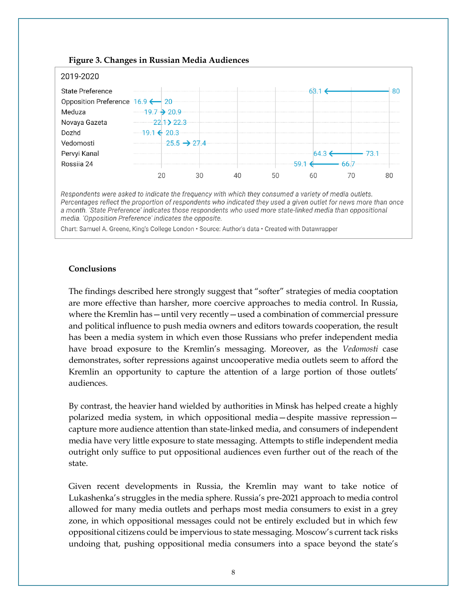

**Figure 3. Changes in Russian Media Audiences**

Respondents were asked to indicate the frequency with which they consumed a variety of media outlets. Percentages reflect the proportion of respondents who indicated they used a given outlet for news more than once a month. 'State Preference' indicates those respondents who used more state-linked media than oppositional media. 'Opposition Preference' indicates the opposite.

Chart: Samuel A. Greene, King's College London · Source: Author's data · Created with Datawrapper

#### **Conclusions**

The findings described here strongly suggest that "softer" strategies of media cooptation are more effective than harsher, more coercive approaches to media control. In Russia, where the Kremlin has - until very recently - used a combination of commercial pressure and political influence to push media owners and editors towards cooperation, the result has been a media system in which even those Russians who prefer independent media have broad exposure to the Kremlin's messaging. Moreover, as the *Vedomosti* case demonstrates, softer repressions against uncooperative media outlets seem to afford the Kremlin an opportunity to capture the attention of a large portion of those outlets' audiences.

By contrast, the heavier hand wielded by authorities in Minsk has helped create a highly polarized media system, in which oppositional media—despite massive repression capture more audience attention than state-linked media, and consumers of independent media have very little exposure to state messaging. Attempts to stifle independent media outright only suffice to put oppositional audiences even further out of the reach of the state.

Given recent developments in Russia, the Kremlin may want to take notice of Lukashenka's struggles in the media sphere. Russia's pre-2021 approach to media control allowed for many media outlets and perhaps most media consumers to exist in a grey zone, in which oppositional messages could not be entirely excluded but in which few oppositional citizens could be impervious to state messaging. Moscow's current tack risks undoing that, pushing oppositional media consumers into a space beyond the state's